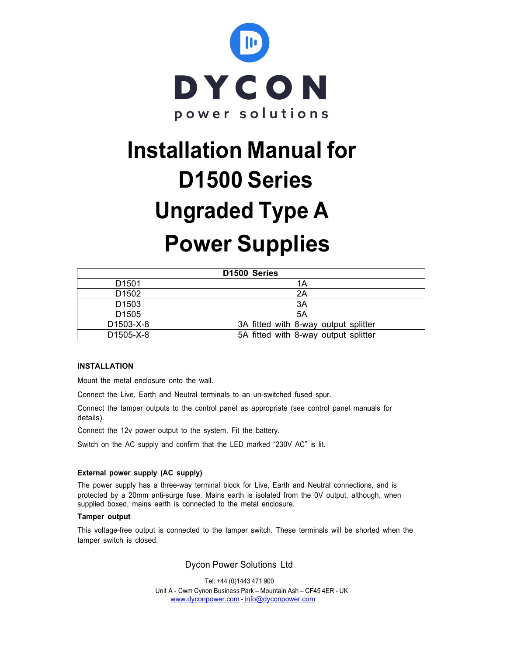

# **Power Supplies Installation Manual for D1500 Series Ungraded Type A**

| D <sub>1500</sub> Series |                                      |  |  |  |
|--------------------------|--------------------------------------|--|--|--|
| D <sub>1501</sub>        | 1Α                                   |  |  |  |
| D <sub>1502</sub>        | 2A                                   |  |  |  |
| D <sub>1503</sub>        | 3A                                   |  |  |  |
| D <sub>1505</sub>        | 5A                                   |  |  |  |
| D1503-X-8                | 3A fitted with 8-way output splitter |  |  |  |
| D1505-X-8                | 5A fitted with 8-way output splitter |  |  |  |

# **INSTALLATION**

Mount the metal enclosure onto the wall.

Connect the Live, Earth and Neutral terminals to an un-switched fused spur.

Connect the tamper outputs to the control panel as appropriate (see control panel manuals for details).

Connect the 12v power output to the system. Fit the battery.

Switch on the AC supply and confirm that the LED marked "230V AC" is lit.

### **External power supply (AC supply)**

The power supply has a three-way terminal block for Live, Earth and Neutral connections, and is protected by a 20mm anti-surge fuse. Mains earth is isolated from the 0V output, although, when supplied boxed, mains earth is connected to the metal enclosure.

#### **Tamper output**

This voltage-free output is connected to the tamper switch. These terminals will be shorted when the tamper switch is closed.

Dycon Power Solutions Ltd

 Tel: +44 (0)1443 471 900 Unit A - Cwm Cynon Business Park – Mountain Ash – CF45 4ER - UK www.dyconpower.com - info@dyconpower.com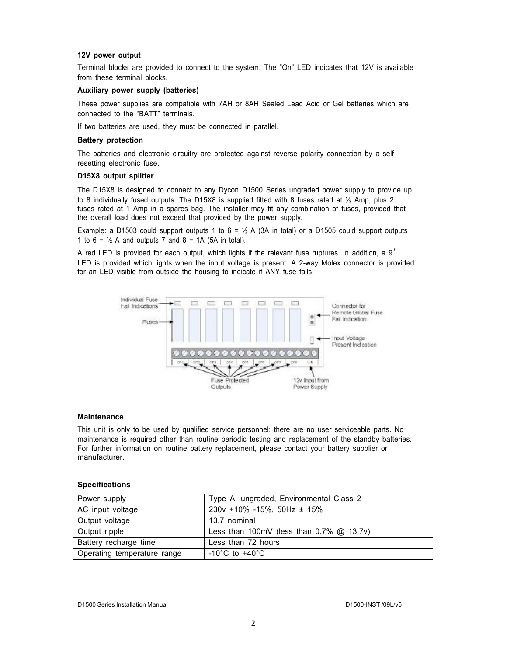## **12V power output**

Terminal blocks are provided to connect to the system. The "On" LED indicates that 12V is available from these terminal blocks.

#### **Auxiliary power supply (batteries)**

These power supplies are compatible with 7AH or 8AH Sealed Lead Acid or Gel batteries which are connected to the "BATT" terminals.

If two batteries are used, they must be connected in parallel.

#### **Battery protection**

The batteries and electronic circuitry are protected against reverse polarity connection by a self resetting electronic fuse.

#### **D15X8 output splitter**

The D15X8 is designed to connect to any Dycon D1500 Series ungraded power supply to provide up to 8 individually fused outputs. The D15X8 is supplied fitted with 8 fuses rated at  $\frac{1}{2}$  Amp, plus 2 fuses rated at 1 Amp in a spares bag. The installer may fit any combination of fuses, provided that the overall load does not exceed that provided by the power supply.

Example: a D1503 could support outputs 1 to  $6 = ½$  A (3A in total) or a D1505 could support outputs 1 to  $6 = \frac{1}{2}$  A and outputs 7 and  $8 = 1$ A (5A in total).

A red LED is provided for each output, which lights if the relevant fuse ruptures. In addition, a  $9<sup>th</sup>$ LED is provided which lights when the input voltage is present. A 2-way Molex connector is provided for an LED visible from outside the housing to indicate if ANY fuse fails.



#### **Maintenance**

This unit is only to be used by qualified service personnel; there are no user serviceable parts. No maintenance is required other than routine periodic testing and replacement of the standby batteries. For further information on routine battery replacement, please contact your battery supplier or manufacturer.

#### **Specifications**

| Power supply                | Type A, ungraded, Environmental Class 2     |  |  |
|-----------------------------|---------------------------------------------|--|--|
| AC input voltage            | $230v + 10\% - 15\%$ , 50Hz ± 15%           |  |  |
| Output voltage              | 13.7 nominal                                |  |  |
| Output ripple               | Less than 100mV (less than $0.7\%$ @ 13.7v) |  |  |
| Battery recharge time       | Less than 72 hours                          |  |  |
| Operating temperature range | $-10^{\circ}$ C to $+40^{\circ}$ C          |  |  |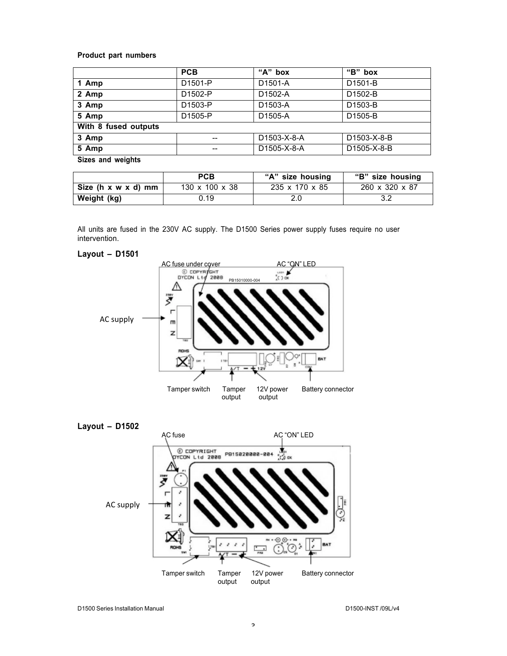# **Product part numbers**

|                      | <b>PCB</b>          | "A" box     | "B" box     |  |  |
|----------------------|---------------------|-------------|-------------|--|--|
| 1 Amp                | D <sub>1501-P</sub> | D1501-A     | D1501-B     |  |  |
| 2 Amp                | D1502-P             | D1502-A     | D1502-B     |  |  |
| 3 Amp                | D1503-P             | D1503-A     | D1503-B     |  |  |
| 5 Amp                | D1505-P             | D1505-A     | D1505-B     |  |  |
| With 8 fused outputs |                     |             |             |  |  |
| 3 Amp                |                     | D1503-X-8-A | D1503-X-8-B |  |  |
| 5 Amp                | $- -$               | D1505-X-8-A | D1505-X-8-B |  |  |
| Sizes and weights    |                     |             |             |  |  |

|                     | <b>PCB</b>                 | "A" size housing | "B" size housing |
|---------------------|----------------------------|------------------|------------------|
| Size (h x w x d) mm | $130 \times 100 \times 38$ | 235 x 170 x 85   | 260 x 320 x 87   |
| Weight (kg)         | 0.19                       | 2.0              |                  |

All units are fused in the 230V AC supply. The D1500 Series power supply fuses require no user intervention.

## **Layout – D1501**